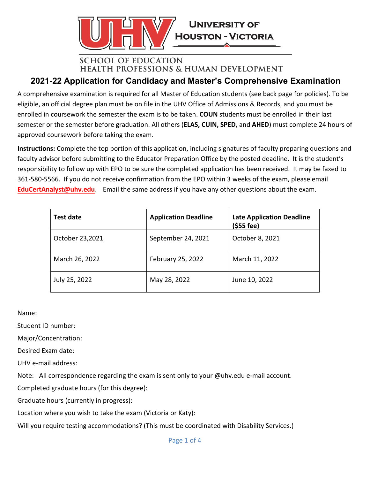

## **SCHOOL OF EDUCATION HEALTH PROFESSIONS & HUMAN DEVELOPMENT**

# **2021-22 Application for Candidacy and Master's Comprehensive Examination**

A comprehensive examination is required for all Master of Education students (see back page for policies). To be eligible, an official degree plan must be on file in the UHV Office of Admissions & Records, and you must be enrolled in coursework the semester the exam is to be taken. **COUN** students must be enrolled in their last semester or the semester before graduation. All others (**ELAS, CUIN, SPED,** and **AHED**) must complete 24 hours of approved coursework before taking the exam.

**Instructions:** Complete the top portion of this application, including signatures of faculty preparing questions and faculty advisor before submitting to the Educator Preparation Office by the posted deadline. It is the student's responsibility to follow up with EPO to be sure the completed application has been received. It may be faxed to 361-580-5566. If you do not receive confirmation from the EPO within 3 weeks of the exam, please email **[EduCertAnalyst@uhv.edu](mailto:EduCertAnalyst@uhv.edu)**. Email the same address if you have any other questions about the exam.

| Test date       | <b>Application Deadline</b> | <b>Late Application Deadline</b><br>$(555$ fee) |
|-----------------|-----------------------------|-------------------------------------------------|
| October 23,2021 | September 24, 2021          | October 8, 2021                                 |
| March 26, 2022  | February 25, 2022           | March 11, 2022                                  |
| July 25, 2022   | May 28, 2022                | June 10, 2022                                   |

Name:

Student ID number:

Major/Concentration:

Desired Exam date:

UHV e-mail address:

Note: All correspondence regarding the exam is sent only to your @uhv.edu e-mail account.

Completed graduate hours (for this degree):

Graduate hours (currently in progress):

Location where you wish to take the exam (Victoria or Katy):

Will you require testing accommodations? (This must be coordinated with Disability Services.)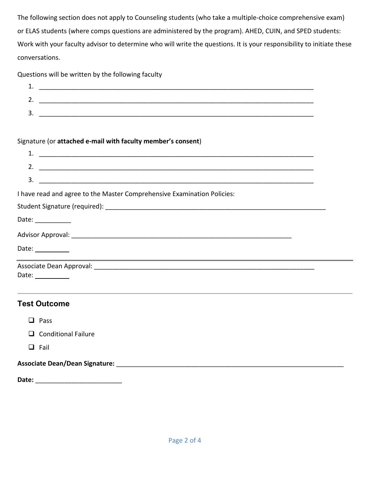The following section does not apply to Counseling students (who take a multiple-choice comprehensive exam) or ELAS students (where comps questions are administered by the program). AHED, CUIN, and SPED students: Work with your faculty advisor to determine who will write the questions. It is your responsibility to initiate these conversations.

Questions will be written by the following faculty

| --  |  |
|-----|--|
| . . |  |
|     |  |

#### Signature (or **attached e-mail with faculty member's consent**)

| 2. $\overline{\phantom{a}}$                                                                                           |  |
|-----------------------------------------------------------------------------------------------------------------------|--|
| $\overline{\mathbf{3.}}$ $\overline{\phantom{1.}}$                                                                    |  |
| I have read and agree to the Master Comprehensive Examination Policies:                                               |  |
|                                                                                                                       |  |
| Date: $\frac{1}{\sqrt{1-\frac{1}{2}}\cdot\frac{1}{2}}$                                                                |  |
|                                                                                                                       |  |
| Date: $\frac{1}{\sqrt{1-\frac{1}{2}}\cdot\frac{1}{2}}$<br><u> 1989 - Andrea Barbara, amerikan personal (h. 1989).</u> |  |
|                                                                                                                       |  |
| Date: $\_\_$                                                                                                          |  |
|                                                                                                                       |  |

### **Test Outcome**

**Q** Conditional Failure

 $\Box$  Fail

#### **Associate Dean/Dean Signature:** \_\_\_\_\_\_\_\_\_\_\_\_\_\_\_\_\_\_\_\_\_\_\_\_\_\_\_\_\_\_\_\_\_\_\_\_\_\_\_\_\_\_\_\_\_\_\_\_\_\_\_\_\_\_\_\_\_\_\_\_\_\_\_

**Date:** \_\_\_\_\_\_\_\_\_\_\_\_\_\_\_\_\_\_\_\_\_\_\_\_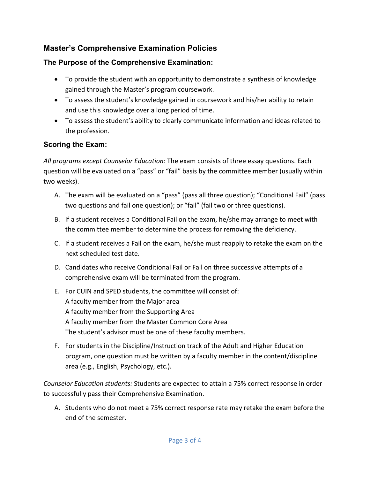## **Master's Comprehensive Examination Policies**

## **The Purpose of the Comprehensive Examination:**

- To provide the student with an opportunity to demonstrate a synthesis of knowledge gained through the Master's program coursework.
- To assess the student's knowledge gained in coursework and his/her ability to retain and use this knowledge over a long period of time.
- To assess the student's ability to clearly communicate information and ideas related to the profession.

## **Scoring the Exam:**

*All programs except Counselor Education:* The exam consists of three essay questions. Each question will be evaluated on a "pass" or "fail" basis by the committee member (usually within two weeks).

- A. The exam will be evaluated on a "pass" (pass all three question); "Conditional Fail" (pass two questions and fail one question); or "fail" (fail two or three questions).
- B. If a student receives a Conditional Fail on the exam, he/she may arrange to meet with the committee member to determine the process for removing the deficiency.
- C. If a student receives a Fail on the exam, he/she must reapply to retake the exam on the next scheduled test date.
- D. Candidates who receive Conditional Fail or Fail on three successive attempts of a comprehensive exam will be terminated from the program.
- E. For CUIN and SPED students, the committee will consist of: A faculty member from the Major area A faculty member from the Supporting Area A faculty member from the Master Common Core Area The student's advisor must be one of these faculty members.
- F. For students in the Discipline/Instruction track of the Adult and Higher Education program, one question must be written by a faculty member in the content/discipline area (e.g., English, Psychology, etc.).

*Counselor Education students:* Students are expected to attain a 75% correct response in order to successfully pass their Comprehensive Examination.

A. Students who do not meet a 75% correct response rate may retake the exam before the end of the semester.